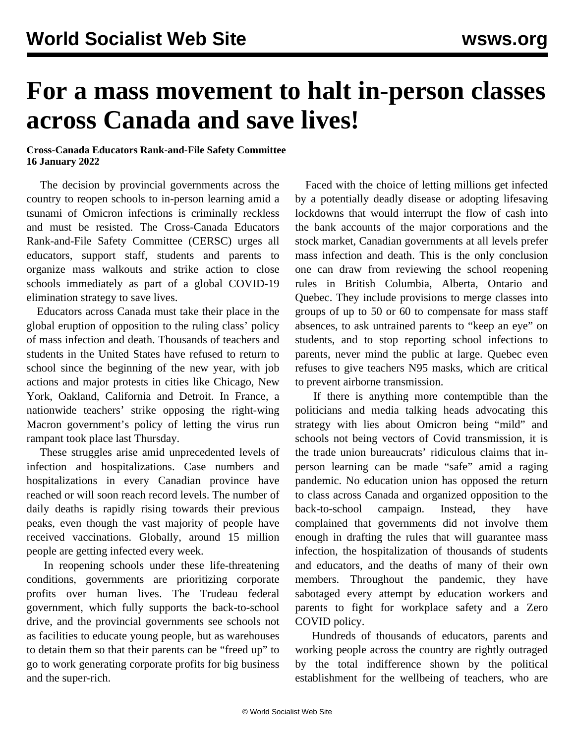## **For a mass movement to halt in-person classes across Canada and save lives!**

## **Cross-Canada Educators Rank-and-File Safety Committee 16 January 2022**

 The decision by provincial governments across the country to reopen schools to in-person learning amid a tsunami of Omicron infections is criminally reckless and must be resisted. The Cross-Canada Educators Rank-and-File Safety Committee (CERSC) urges all educators, support staff, students and parents to organize mass walkouts and strike action to close schools immediately as part of a global COVID-19 elimination strategy to save lives.

 Educators across Canada must take their place in the global eruption of opposition to the ruling class' policy of mass infection and death. Thousands of teachers and students in the United States have refused to return to school since the beginning of the new year, with job actions and major protests in cities like Chicago, New York, Oakland, California and Detroit. In France, a nationwide teachers' strike opposing the right-wing Macron government's policy of letting the virus run rampant took place last Thursday.

 These struggles arise amid unprecedented levels of infection and hospitalizations. Case numbers and hospitalizations in every Canadian province have reached or will soon reach record levels. The number of daily deaths is rapidly rising towards their previous peaks, even though the vast majority of people have received vaccinations. Globally, around 15 million people are getting infected every week.

 In reopening schools under these life-threatening conditions, governments are prioritizing corporate profits over human lives. The Trudeau federal government, which fully supports the back-to-school drive, and the provincial governments see schools not as facilities to educate young people, but as warehouses to detain them so that their parents can be "freed up" to go to work generating corporate profits for big business and the super-rich.

 Faced with the choice of letting millions get infected by a potentially deadly disease or adopting lifesaving lockdowns that would interrupt the flow of cash into the bank accounts of the major corporations and the stock market, Canadian governments at all levels prefer mass infection and death. This is the only conclusion one can draw from reviewing the school reopening rules in British Columbia, Alberta, Ontario and Quebec. They include provisions to merge classes into groups of up to 50 or 60 to compensate for mass staff absences, to ask untrained parents to "keep an eye" on students, and to stop reporting school infections to parents, never mind the public at large. Quebec even refuses to give teachers N95 masks, which are critical to prevent airborne transmission.

 If there is anything more contemptible than the politicians and media talking heads advocating this strategy with lies about Omicron being "mild" and schools not being vectors of Covid transmission, it is the trade union bureaucrats' ridiculous claims that inperson learning can be made "safe" amid a raging pandemic. No education union has opposed the return to class across Canada and organized opposition to the back-to-school campaign. Instead, they have complained that governments did not involve them enough in drafting the rules that will guarantee mass infection, the hospitalization of thousands of students and educators, and the deaths of many of their own members. Throughout the pandemic, they have sabotaged every attempt by education workers and parents to fight for workplace safety and a Zero COVID policy.

 Hundreds of thousands of educators, parents and working people across the country are rightly outraged by the total indifference shown by the political establishment for the wellbeing of teachers, who are